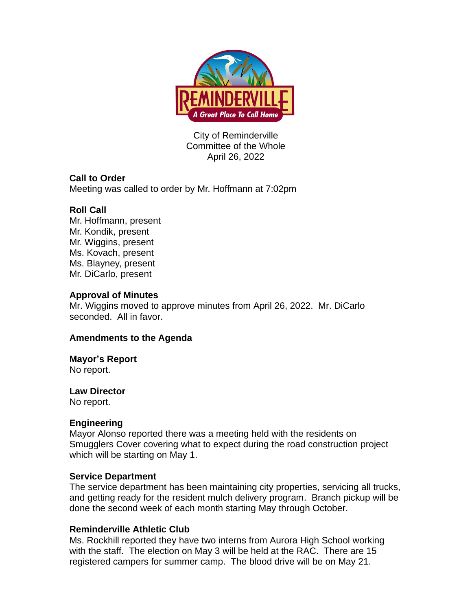

City of Reminderville Committee of the Whole April 26, 2022

## **Call to Order**

Meeting was called to order by Mr. Hoffmann at 7:02pm

# **Roll Call**

Mr. Hoffmann, present Mr. Kondik, present Mr. Wiggins, present Ms. Kovach, present Ms. Blayney, present Mr. DiCarlo, present

## **Approval of Minutes**

Mr. Wiggins moved to approve minutes from April 26, 2022. Mr. DiCarlo seconded. All in favor.

# **Amendments to the Agenda**

## **Mayor's Report**

No report.

## **Law Director**

No report.

# **Engineering**

Mayor Alonso reported there was a meeting held with the residents on Smugglers Cover covering what to expect during the road construction project which will be starting on May 1.

## **Service Department**

The service department has been maintaining city properties, servicing all trucks, and getting ready for the resident mulch delivery program. Branch pickup will be done the second week of each month starting May through October.

# **Reminderville Athletic Club**

Ms. Rockhill reported they have two interns from Aurora High School working with the staff. The election on May 3 will be held at the RAC. There are 15 registered campers for summer camp. The blood drive will be on May 21.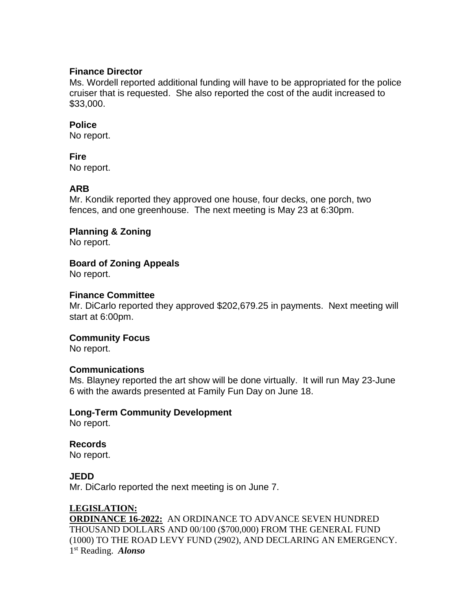#### **Finance Director**

Ms. Wordell reported additional funding will have to be appropriated for the police cruiser that is requested. She also reported the cost of the audit increased to \$33,000.

#### **Police**

No report.

#### **Fire**

No report.

## **ARB**

Mr. Kondik reported they approved one house, four decks, one porch, two fences, and one greenhouse. The next meeting is May 23 at 6:30pm.

**Planning & Zoning**

No report.

#### **Board of Zoning Appeals**

No report.

#### **Finance Committee**

Mr. DiCarlo reported they approved \$202,679.25 in payments. Next meeting will start at 6:00pm.

#### **Community Focus**

No report.

#### **Communications**

Ms. Blayney reported the art show will be done virtually. It will run May 23-June 6 with the awards presented at Family Fun Day on June 18.

#### **Long-Term Community Development**

No report.

## **Records**

No report.

#### **JEDD**

Mr. DiCarlo reported the next meeting is on June 7.

## **LEGISLATION:**

**ORDINANCE 16-2022:** AN ORDINANCE TO ADVANCE SEVEN HUNDRED THOUSAND DOLLARS AND 00/100 (\$700,000) FROM THE GENERAL FUND (1000) TO THE ROAD LEVY FUND (2902), AND DECLARING AN EMERGENCY. 1 st Reading. *Alonso*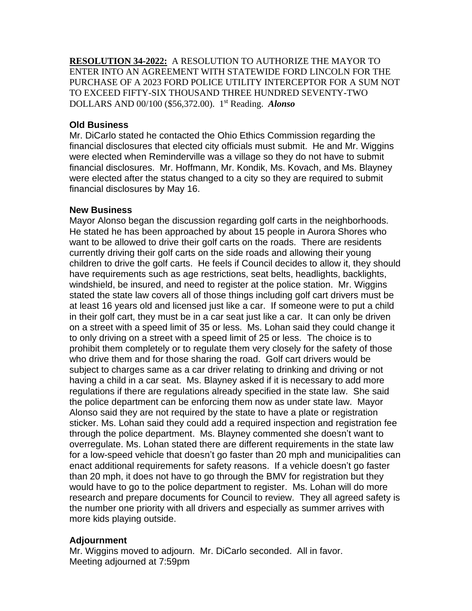**RESOLUTION 34-2022:** A RESOLUTION TO AUTHORIZE THE MAYOR TO ENTER INTO AN AGREEMENT WITH STATEWIDE FORD LINCOLN FOR THE PURCHASE OF A 2023 FORD POLICE UTILITY INTERCEPTOR FOR A SUM NOT TO EXCEED FIFTY-SIX THOUSAND THREE HUNDRED SEVENTY-TWO DOLLARS AND 00/100 (\$56,372.00). 1 st Reading. *Alonso*

## **Old Business**

Mr. DiCarlo stated he contacted the Ohio Ethics Commission regarding the financial disclosures that elected city officials must submit. He and Mr. Wiggins were elected when Reminderville was a village so they do not have to submit financial disclosures. Mr. Hoffmann, Mr. Kondik, Ms. Kovach, and Ms. Blayney were elected after the status changed to a city so they are required to submit financial disclosures by May 16.

## **New Business**

Mayor Alonso began the discussion regarding golf carts in the neighborhoods. He stated he has been approached by about 15 people in Aurora Shores who want to be allowed to drive their golf carts on the roads. There are residents currently driving their golf carts on the side roads and allowing their young children to drive the golf carts. He feels if Council decides to allow it, they should have requirements such as age restrictions, seat belts, headlights, backlights, windshield, be insured, and need to register at the police station. Mr. Wiggins stated the state law covers all of those things including golf cart drivers must be at least 16 years old and licensed just like a car. If someone were to put a child in their golf cart, they must be in a car seat just like a car. It can only be driven on a street with a speed limit of 35 or less. Ms. Lohan said they could change it to only driving on a street with a speed limit of 25 or less. The choice is to prohibit them completely or to regulate them very closely for the safety of those who drive them and for those sharing the road. Golf cart drivers would be subject to charges same as a car driver relating to drinking and driving or not having a child in a car seat. Ms. Blayney asked if it is necessary to add more regulations if there are regulations already specified in the state law. She said the police department can be enforcing them now as under state law. Mayor Alonso said they are not required by the state to have a plate or registration sticker. Ms. Lohan said they could add a required inspection and registration fee through the police department. Ms. Blayney commented she doesn't want to overregulate. Ms. Lohan stated there are different requirements in the state law for a low-speed vehicle that doesn't go faster than 20 mph and municipalities can enact additional requirements for safety reasons. If a vehicle doesn't go faster than 20 mph, it does not have to go through the BMV for registration but they would have to go to the police department to register. Ms. Lohan will do more research and prepare documents for Council to review. They all agreed safety is the number one priority with all drivers and especially as summer arrives with more kids playing outside.

# **Adjournment**

Mr. Wiggins moved to adjourn. Mr. DiCarlo seconded. All in favor. Meeting adjourned at 7:59pm